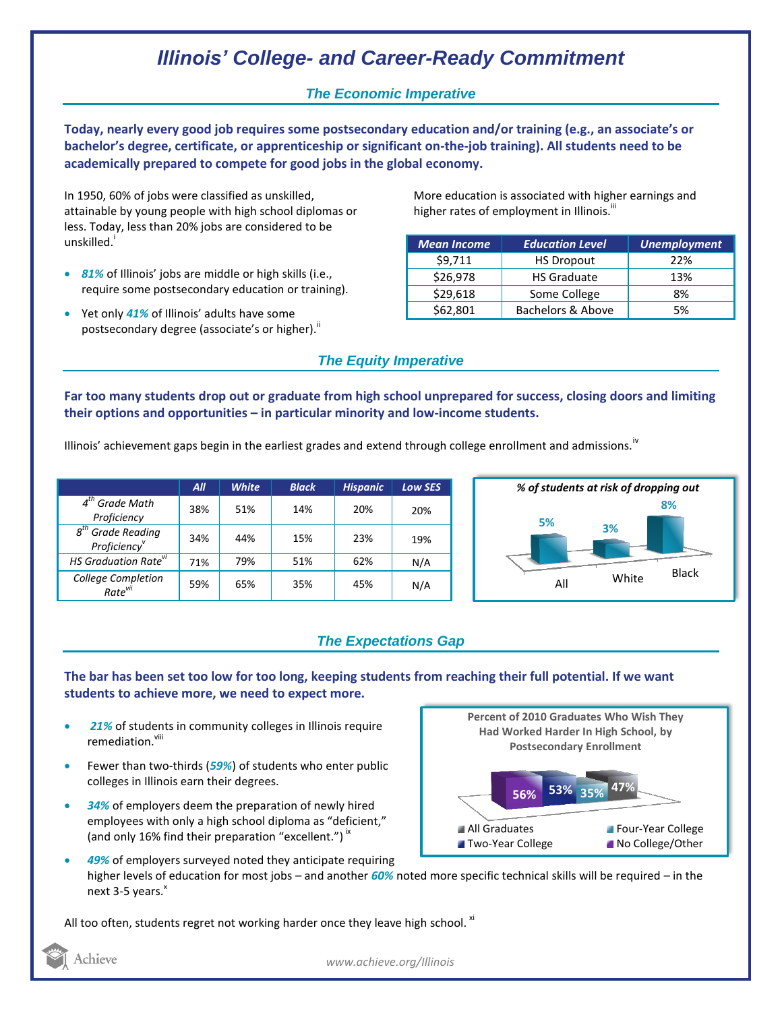# *Illinois' College- and Career-Ready Commitment*

#### *The Economic Imperative*

**Today, nearly every good job requires some postsecondary education and/or training (e.g., an associate's or bachelor's degree, certificate, or apprenticeship or significant on-the-job training). All students need to be academically prepared to compete for good jobs in the global economy.**

In 1950, 60% of jobs were classified as unskilled, attainable by young people with high school diplomas or less. Today, less than 20% jobs are considered to be unskilled.<sup>1</sup>

- *81%* of Illinois' jobs are middle or high skills (i.e., require some postsecondary education or training).
- Yet only *41%* of Illinois' adults have some postsecondary degree (associate's or higher).<sup>ii</sup>

More education is associated with higher earnings and higher rates of employment in Illinois.<sup>iii</sup>

| <b>Mean Income</b> | <b>Education Level</b> | <b>Unemployment</b> |
|--------------------|------------------------|---------------------|
| \$9,711            | <b>HS Dropout</b>      | 22%                 |
| \$26,978           | <b>HS Graduate</b>     | 13%                 |
| \$29,618           | Some College           | 8%                  |
| \$62,801           | Bachelors & Above      | 5%                  |

### *The Equity Imperative*

**Far too many students drop out or graduate from high school unprepared for success, closing doors and limiting their options and opportunities – in particular minority and low-income students.** 

Illinois' achievement gaps begin in the earliest grades and extend through college enrollment and admissions.<sup>"</sup>

|                                                 | All | <b>White</b> | <b>Black</b> | <b>Hispanic</b> | <b>Low SES</b> |
|-------------------------------------------------|-----|--------------|--------------|-----------------|----------------|
| $4th$ Grade Math<br>Proficiency                 | 38% | 51%          | 14%          | 20%             | 20%            |
| $g^{th}$<br><b>Grade Reading</b><br>Proficiency | 34% | 44%          | 15%          | 23%             | 19%            |
| <b>HS Graduation Rate<sup>VI</sup></b>          | 71% | 79%          | 51%          | 62%             | N/A            |
| College Completion<br>Rate <sup>vii</sup>       | 59% | 65%          | 35%          | 45%             | N/A            |



#### *The Expectations Gap*

**The bar has been set too low for too long, keeping students from reaching their full potential. If we want students to achieve more, we need to expect more.**

- *21%* of students in community colleges in Illinois require remediation.<sup>viii</sup>
- Fewer than two-thirds (*59%*) of students who enter public colleges in Illinois earn their degrees.
- *34%* of employers deem the preparation of newly hired employees with only a high school diploma as "deficient," (and only 16% find their preparation "excellent.")<sup>ix</sup>



 *49%* of employers surveyed noted they anticipate requiring higher levels of education for most jobs – and another *60%* noted more specific technical skills will be required – in the next 3-5 years.<sup>x</sup>

All too often, students regret not working harder once they leave high school. <sup>xi</sup>

Achieve

*www.achieve.org/Illinois*